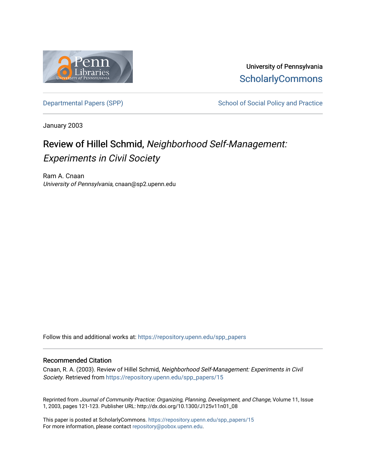

University of Pennsylvania **ScholarlyCommons** 

[Departmental Papers \(SPP\)](https://repository.upenn.edu/spp_papers) School of Social Policy and Practice

January 2003

# Review of Hillel Schmid, Neighborhood Self-Management: Experiments in Civil Society

Ram A. Cnaan University of Pennsylvania, cnaan@sp2.upenn.edu

Follow this and additional works at: [https://repository.upenn.edu/spp\\_papers](https://repository.upenn.edu/spp_papers?utm_source=repository.upenn.edu%2Fspp_papers%2F15&utm_medium=PDF&utm_campaign=PDFCoverPages) 

#### Recommended Citation

Cnaan, R. A. (2003). Review of Hillel Schmid, Neighborhood Self-Management: Experiments in Civil Society. Retrieved from [https://repository.upenn.edu/spp\\_papers/15](https://repository.upenn.edu/spp_papers/15?utm_source=repository.upenn.edu%2Fspp_papers%2F15&utm_medium=PDF&utm_campaign=PDFCoverPages) 

Reprinted from Journal of Community Practice: Organizing, Planning, Development, and Change, Volume 11, Issue 1, 2003, pages 121-123. Publisher URL: http://dx.doi.org/10.1300/J125v11n01\_08

This paper is posted at ScholarlyCommons. [https://repository.upenn.edu/spp\\_papers/15](https://repository.upenn.edu/spp_papers/15)  For more information, please contact [repository@pobox.upenn.edu.](mailto:repository@pobox.upenn.edu)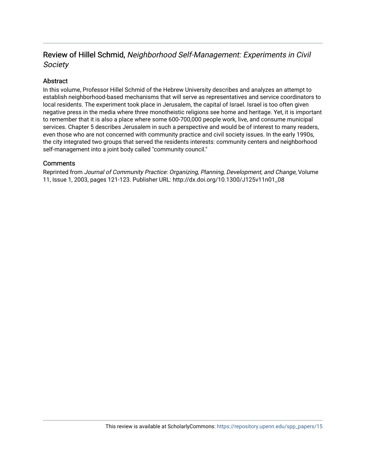## Review of Hillel Schmid, Neighborhood Self-Management: Experiments in Civil Society

## Abstract

In this volume, Professor Hillel Schmid of the Hebrew University describes and analyzes an attempt to establish neighborhood-based mechanisms that will serve as representatives and service coordinators to local residents. The experiment took place in Jerusalem, the capital of Israel. Israel is too often given negative press in the media where three monotheistic religions see home and heritage. Yet, it is important to remember that it is also a place where some 600-700,000 people work, live, and consume municipal services. Chapter 5 describes Jerusalem in such a perspective and would be of interest to many readers, even those who are not concerned with community practice and civil society issues. In the early 1990s, the city integrated two groups that served the residents interests: community centers and neighborhood self-management into a joint body called "community council."

### **Comments**

Reprinted from Journal of Community Practice: Organizing, Planning, Development, and Change, Volume 11, Issue 1, 2003, pages 121-123. Publisher URL: http://dx.doi.org/10.1300/J125v11n01\_08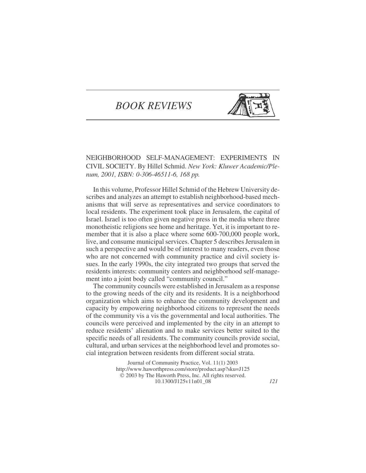# *BOOK REVIEWS*



NEIGHBORHOOD SELF-MANAGEMENT: EXPERIMENTS IN CIVIL SOCIETY. By Hillel Schmid. *New York: Kluwer Academic/Plenum, 2001, ISBN: 0-306-46511-6, 168 pp.*

In this volume, Professor Hillel Schmid of the Hebrew University describes and analyzes an attempt to establish neighborhood-based mechanisms that will serve as representatives and service coordinators to local residents. The experiment took place in Jerusalem, the capital of Israel. Israel is too often given negative press in the media where three monotheistic religions see home and heritage. Yet, it is important to remember that it is also a place where some 600-700,000 people work, live, and consume municipal services. Chapter 5 describes Jerusalem in such a perspective and would be of interest to many readers, even those who are not concerned with community practice and civil society issues. In the early 1990s, the city integrated two groups that served the residents interests: community centers and neighborhood self-management into a joint body called "community council."

The community councils were established in Jerusalem as a response to the growing needs of the city and its residents. It is a neighborhood organization which aims to enhance the community development and capacity by empowering neighborhood citizens to represent the needs of the community vis a vis the governmental and local authorities. The councils were perceived and implemented by the city in an attempt to reduce residents' alienation and to make services better suited to the specific needs of all residents. The community councils provide social, cultural, and urban services at the neighborhood level and promotes social integration between residents from different social strata.

> Journal of Community Practice, Vol. 11(1) 2003 <http://www.haworthpress.com/store/product.asp?sku=J125> 2003 by The Haworth Press, Inc. All rights reserved. 10.1300/J125v11n01\_08 *121*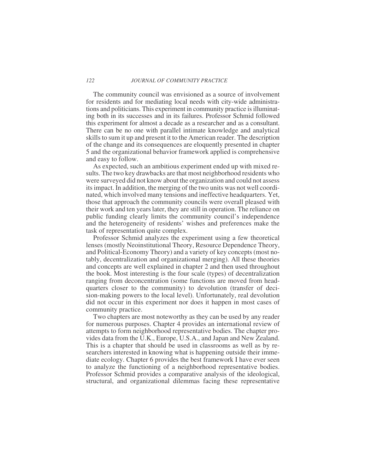#### *122 JOURNAL OF COMMUNITY PRACTICE*

The community council was envisioned as a source of involvement for residents and for mediating local needs with city-wide administrations and politicians. This experiment in community practice is illuminating both in its successes and in its failures. Professor Schmid followed this experiment for almost a decade as a researcher and as a consultant. There can be no one with parallel intimate knowledge and analytical skills to sum it up and present it to the American reader. The description of the change and its consequences are eloquently presented in chapter 5 and the organizational behavior framework applied is comprehensive and easy to follow.

As expected, such an ambitious experiment ended up with mixed results. The two key drawbacks are that most neighborhood residents who were surveyed did not know about the organization and could not assess its impact. In addition, the merging of the two units was not well coordinated, which involved many tensions and ineffective headquarters. Yet, those that approach the community councils were overall pleased with their work and ten years later, they are still in operation. The reliance on public funding clearly limits the community council's independence and the heterogeneity of residents' wishes and preferences make the task of representation quite complex.

Professor Schmid analyzes the experiment using a few theoretical lenses (mostly Neoinstitutional Theory, Resource Dependence Theory, and Political-Economy Theory) and a variety of key concepts (most notably, decentralization and organizational merging). All these theories and concepts are well explained in chapter 2 and then used throughout the book. Most interesting is the four scale (types) of decentralization ranging from deconcentration (some functions are moved from headquarters closer to the community) to devolution (transfer of decision-making powers to the local level). Unfortunately, real devolution did not occur in this experiment nor does it happen in most cases of community practice.

Two chapters are most noteworthy as they can be used by any reader for numerous purposes. Chapter 4 provides an international review of attempts to form neighborhood representative bodies. The chapter provides data from the U.K., Europe, U.S.A., and Japan and New Zealand. This is a chapter that should be used in classrooms as well as by researchers interested in knowing what is happening outside their immediate ecology. Chapter 6 provides the best framework I have ever seen to analyze the functioning of a neighborhood representative bodies. Professor Schmid provides a comparative analysis of the ideological, structural, and organizational dilemmas facing these representative